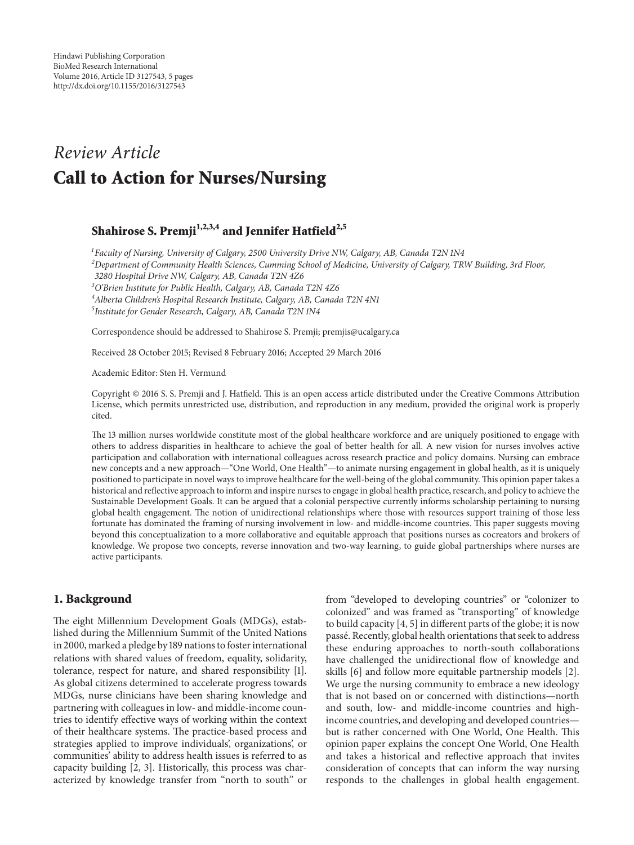# *Review Article* **Call to Action for Nurses/Nursing**

## Shahirose S. Premji<sup>1,2,3,4</sup> and Jennifer Hatfield<sup>2,5</sup>

 *Faculty of Nursing, University of Calgary, 2500 University Drive NW, Calgary, AB, Canada T2N 1N4 Department of Community Health Sciences, Cumming School of Medicine, University of Calgary, TRW Building, 3rd Floor, 3280 Hospital Drive NW, Calgary, AB, Canada T2N 4Z6 O'Brien Institute for Public Health, Calgary, AB, Canada T2N 4Z6 Alberta Children's Hospital Research Institute, Calgary, AB, Canada T2N 4N1 Institute for Gender Research, Calgary, AB, Canada T2N 1N4*

Correspondence should be addressed to Shahirose S. Premji; premjis@ucalgary.ca

Received 28 October 2015; Revised 8 February 2016; Accepted 29 March 2016

Academic Editor: Sten H. Vermund

Copyright © 2016 S. S. Premji and J. Hatfield. This is an open access article distributed under the Creative Commons Attribution License, which permits unrestricted use, distribution, and reproduction in any medium, provided the original work is properly cited.

The 13 million nurses worldwide constitute most of the global healthcare workforce and are uniquely positioned to engage with others to address disparities in healthcare to achieve the goal of better health for all. A new vision for nurses involves active participation and collaboration with international colleagues across research practice and policy domains. Nursing can embrace new concepts and a new approach—"One World, One Health"—to animate nursing engagement in global health, as it is uniquely positioned to participate in novel ways to improve healthcare for the well-being of the global community. This opinion paper takes a historical and reflective approach to inform and inspire nurses to engage in global health practice, research, and policy to achieve the Sustainable Development Goals. It can be argued that a colonial perspective currently informs scholarship pertaining to nursing global health engagement. The notion of unidirectional relationships where those with resources support training of those less fortunate has dominated the framing of nursing involvement in low- and middle-income countries. This paper suggests moving beyond this conceptualization to a more collaborative and equitable approach that positions nurses as cocreators and brokers of knowledge. We propose two concepts, reverse innovation and two-way learning, to guide global partnerships where nurses are active participants.

## **1. Background**

The eight Millennium Development Goals (MDGs), established during the Millennium Summit of the United Nations in 2000, marked a pledge by 189 nations to foster international relations with shared values of freedom, equality, solidarity, tolerance, respect for nature, and shared responsibility [1]. As global citizens determined to accelerate progress towards MDGs, nurse clinicians have been sharing knowledge and partnering with colleagues in low- and middle-income countries to identify effective ways of working within the context of their healthcare systems. The practice-based process and strategies applied to improve individuals', organizations', or communities' ability to address health issues is referred to as capacity building [2, 3]. Historically, this process was characterized by knowledge transfer from "north to south" or

from "developed to developing countries" or "colonizer to colonized" and was framed as "transporting" of knowledge to build capacity [4, 5] in different parts of the globe; it is now passe. Recently, global health orientations that seek to address ´ these enduring approaches to north-south collaborations have challenged the unidirectional flow of knowledge and skills [6] and follow more equitable partnership models [2]. We urge the nursing community to embrace a new ideology that is not based on or concerned with distinctions—north and south, low- and middle-income countries and highincome countries, and developing and developed countries but is rather concerned with One World, One Health. This opinion paper explains the concept One World, One Health and takes a historical and reflective approach that invites consideration of concepts that can inform the way nursing responds to the challenges in global health engagement.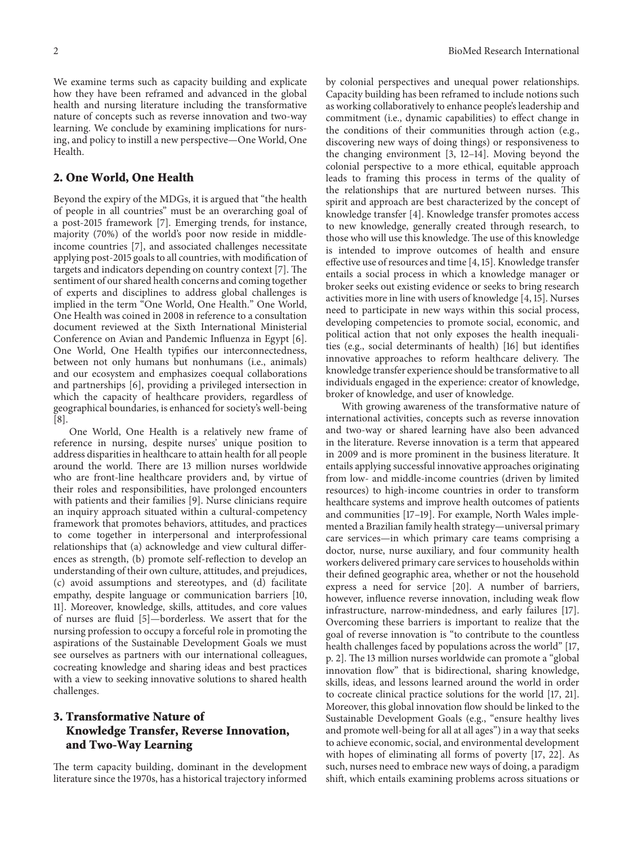We examine terms such as capacity building and explicate how they have been reframed and advanced in the global health and nursing literature including the transformative nature of concepts such as reverse innovation and two-way learning. We conclude by examining implications for nursing, and policy to instill a new perspective—One World, One Health.

#### **2. One World, One Health**

Beyond the expiry of the MDGs, it is argued that "the health of people in all countries" must be an overarching goal of a post-2015 framework [7]. Emerging trends, for instance, majority (70%) of the world's poor now reside in middleincome countries [7], and associated challenges necessitate applying post-2015 goals to all countries, with modification of targets and indicators depending on country context [7]. The sentiment of our shared health concerns and coming together of experts and disciplines to address global challenges is implied in the term "One World, One Health." One World, One Health was coined in 2008 in reference to a consultation document reviewed at the Sixth International Ministerial Conference on Avian and Pandemic Influenza in Egypt [6]. One World, One Health typifies our interconnectedness, between not only humans but nonhumans (i.e., animals) and our ecosystem and emphasizes coequal collaborations and partnerships [6], providing a privileged intersection in which the capacity of healthcare providers, regardless of geographical boundaries, is enhanced for society's well-being [8].

One World, One Health is a relatively new frame of reference in nursing, despite nurses' unique position to address disparities in healthcare to attain health for all people around the world. There are 13 million nurses worldwide who are front-line healthcare providers and, by virtue of their roles and responsibilities, have prolonged encounters with patients and their families [9]. Nurse clinicians require an inquiry approach situated within a cultural-competency framework that promotes behaviors, attitudes, and practices to come together in interpersonal and interprofessional relationships that (a) acknowledge and view cultural differences as strength, (b) promote self-reflection to develop an understanding of their own culture, attitudes, and prejudices, (c) avoid assumptions and stereotypes, and (d) facilitate empathy, despite language or communication barriers [10, 11]. Moreover, knowledge, skills, attitudes, and core values of nurses are fluid [5]—borderless. We assert that for the nursing profession to occupy a forceful role in promoting the aspirations of the Sustainable Development Goals we must see ourselves as partners with our international colleagues, cocreating knowledge and sharing ideas and best practices with a view to seeking innovative solutions to shared health challenges.

## **3. Transformative Nature of Knowledge Transfer, Reverse Innovation, and Two-Way Learning**

The term capacity building, dominant in the development literature since the 1970s, has a historical trajectory informed

by colonial perspectives and unequal power relationships. Capacity building has been reframed to include notions such as working collaboratively to enhance people's leadership and commitment (i.e., dynamic capabilities) to effect change in the conditions of their communities through action (e.g., discovering new ways of doing things) or responsiveness to the changing environment [3, 12–14]. Moving beyond the colonial perspective to a more ethical, equitable approach leads to framing this process in terms of the quality of the relationships that are nurtured between nurses. This spirit and approach are best characterized by the concept of knowledge transfer [4]. Knowledge transfer promotes access to new knowledge, generally created through research, to those who will use this knowledge. The use of this knowledge is intended to improve outcomes of health and ensure effective use of resources and time [4, 15]. Knowledge transfer entails a social process in which a knowledge manager or broker seeks out existing evidence or seeks to bring research activities more in line with users of knowledge [4, 15]. Nurses need to participate in new ways within this social process, developing competencies to promote social, economic, and political action that not only exposes the health inequalities (e.g., social determinants of health) [16] but identifies innovative approaches to reform healthcare delivery. The knowledge transfer experience should be transformative to all individuals engaged in the experience: creator of knowledge, broker of knowledge, and user of knowledge.

With growing awareness of the transformative nature of international activities, concepts such as reverse innovation and two-way or shared learning have also been advanced in the literature. Reverse innovation is a term that appeared in 2009 and is more prominent in the business literature. It entails applying successful innovative approaches originating from low- and middle-income countries (driven by limited resources) to high-income countries in order to transform healthcare systems and improve health outcomes of patients and communities [17–19]. For example, North Wales implemented a Brazilian family health strategy—universal primary care services—in which primary care teams comprising a doctor, nurse, nurse auxiliary, and four community health workers delivered primary care services to households within their defined geographic area, whether or not the household express a need for service [20]. A number of barriers, however, influence reverse innovation, including weak flow infrastructure, narrow-mindedness, and early failures [17]. Overcoming these barriers is important to realize that the goal of reverse innovation is "to contribute to the countless health challenges faced by populations across the world" [17, p. 2]. The 13 million nurses worldwide can promote a "global innovation flow" that is bidirectional, sharing knowledge, skills, ideas, and lessons learned around the world in order to cocreate clinical practice solutions for the world [17, 21]. Moreover, this global innovation flow should be linked to the Sustainable Development Goals (e.g., "ensure healthy lives and promote well-being for all at all ages") in a way that seeks to achieve economic, social, and environmental development with hopes of eliminating all forms of poverty [17, 22]. As such, nurses need to embrace new ways of doing, a paradigm shift, which entails examining problems across situations or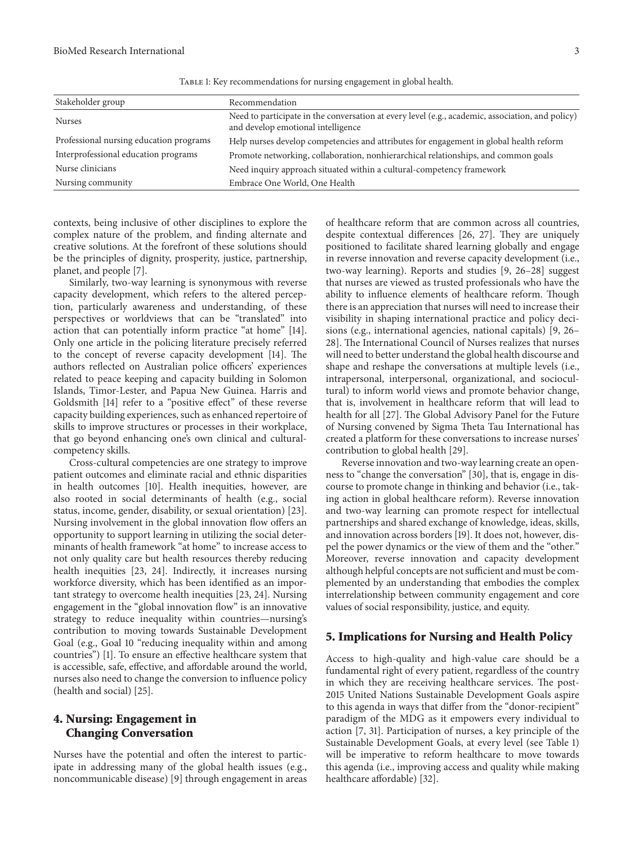| Stakeholder group                       | Recommendation                                                                                                                         |
|-----------------------------------------|----------------------------------------------------------------------------------------------------------------------------------------|
| <b>Nurses</b>                           | Need to participate in the conversation at every level (e.g., academic, association, and policy)<br>and develop emotional intelligence |
| Professional nursing education programs | Help nurses develop competencies and attributes for engagement in global health reform                                                 |
| Interprofessional education programs    | Promote networking, collaboration, nonhierarchical relationships, and common goals                                                     |
| Nurse clinicians                        | Need inquiry approach situated within a cultural-competency framework                                                                  |
| Nursing community                       | Embrace One World, One Health                                                                                                          |

Table 1: Key recommendations for nursing engagement in global health.

contexts, being inclusive of other disciplines to explore the complex nature of the problem, and finding alternate and creative solutions. At the forefront of these solutions should be the principles of dignity, prosperity, justice, partnership, planet, and people [7].

Similarly, two-way learning is synonymous with reverse capacity development, which refers to the altered perception, particularly awareness and understanding, of these perspectives or worldviews that can be "translated" into action that can potentially inform practice "at home" [14]. Only one article in the policing literature precisely referred to the concept of reverse capacity development [14]. The authors reflected on Australian police officers' experiences related to peace keeping and capacity building in Solomon Islands, Timor-Lester, and Papua New Guinea. Harris and Goldsmith [14] refer to a "positive effect" of these reverse capacity building experiences, such as enhanced repertoire of skills to improve structures or processes in their workplace, that go beyond enhancing one's own clinical and culturalcompetency skills.

Cross-cultural competencies are one strategy to improve patient outcomes and eliminate racial and ethnic disparities in health outcomes [10]. Health inequities, however, are also rooted in social determinants of health (e.g., social status, income, gender, disability, or sexual orientation) [23]. Nursing involvement in the global innovation flow offers an opportunity to support learning in utilizing the social determinants of health framework "at home" to increase access to not only quality care but health resources thereby reducing health inequities [23, 24]. Indirectly, it increases nursing workforce diversity, which has been identified as an important strategy to overcome health inequities [23, 24]. Nursing engagement in the "global innovation flow" is an innovative strategy to reduce inequality within countries—nursing's contribution to moving towards Sustainable Development Goal (e.g., Goal 10 "reducing inequality within and among countries") [1]. To ensure an effective healthcare system that is accessible, safe, effective, and affordable around the world, nurses also need to change the conversion to influence policy (health and social) [25].

## **4. Nursing: Engagement in Changing Conversation**

Nurses have the potential and often the interest to participate in addressing many of the global health issues (e.g., noncommunicable disease) [9] through engagement in areas of healthcare reform that are common across all countries, despite contextual differences [26, 27]. They are uniquely positioned to facilitate shared learning globally and engage in reverse innovation and reverse capacity development (i.e., two-way learning). Reports and studies [9, 26–28] suggest that nurses are viewed as trusted professionals who have the ability to influence elements of healthcare reform. Though there is an appreciation that nurses will need to increase their visibility in shaping international practice and policy decisions (e.g., international agencies, national capitals) [9, 26– 28]. The International Council of Nurses realizes that nurses will need to better understand the global health discourse and shape and reshape the conversations at multiple levels (i.e., intrapersonal, interpersonal, organizational, and sociocultural) to inform world views and promote behavior change, that is, involvement in healthcare reform that will lead to health for all [27]. The Global Advisory Panel for the Future of Nursing convened by Sigma Theta Tau International has created a platform for these conversations to increase nurses' contribution to global health [29].

Reverse innovation and two-way learning create an openness to "change the conversation" [30], that is, engage in discourse to promote change in thinking and behavior (i.e., taking action in global healthcare reform). Reverse innovation and two-way learning can promote respect for intellectual partnerships and shared exchange of knowledge, ideas, skills, and innovation across borders [19]. It does not, however, dispel the power dynamics or the view of them and the "other." Moreover, reverse innovation and capacity development although helpful concepts are not sufficient and must be complemented by an understanding that embodies the complex interrelationship between community engagement and core values of social responsibility, justice, and equity.

### **5. Implications for Nursing and Health Policy**

Access to high-quality and high-value care should be a fundamental right of every patient, regardless of the country in which they are receiving healthcare services. The post-2015 United Nations Sustainable Development Goals aspire to this agenda in ways that differ from the "donor-recipient" paradigm of the MDG as it empowers every individual to action [7, 31]. Participation of nurses, a key principle of the Sustainable Development Goals, at every level (see Table 1) will be imperative to reform healthcare to move towards this agenda (i.e., improving access and quality while making healthcare affordable) [32].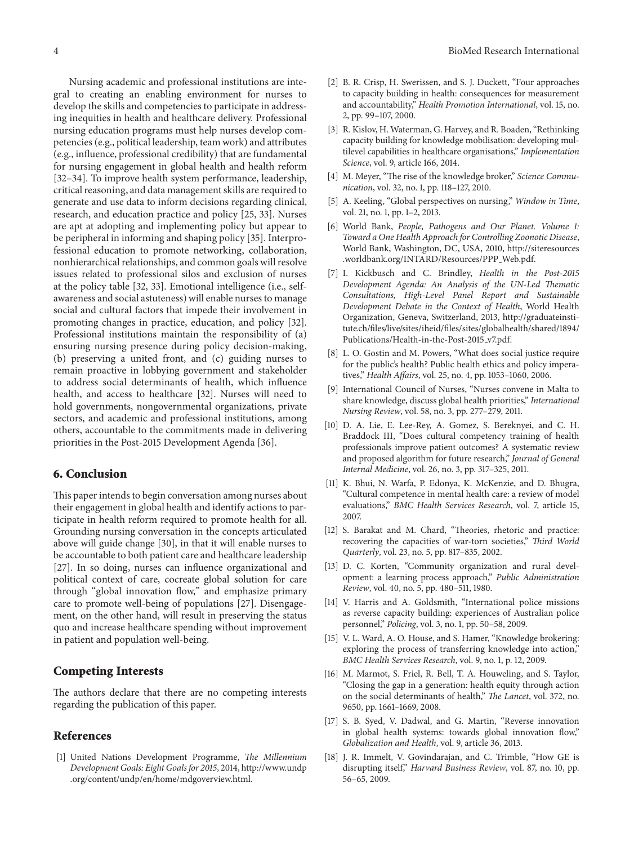Nursing academic and professional institutions are integral to creating an enabling environment for nurses to develop the skills and competencies to participate in addressing inequities in health and healthcare delivery. Professional nursing education programs must help nurses develop competencies (e.g., political leadership, team work) and attributes (e.g., influence, professional credibility) that are fundamental for nursing engagement in global health and health reform [32–34]. To improve health system performance, leadership, critical reasoning, and data management skills are required to generate and use data to inform decisions regarding clinical, research, and education practice and policy [25, 33]. Nurses are apt at adopting and implementing policy but appear to be peripheral in informing and shaping policy [35]. Interprofessional education to promote networking, collaboration, nonhierarchical relationships, and common goals will resolve issues related to professional silos and exclusion of nurses at the policy table [32, 33]. Emotional intelligence (i.e., selfawareness and social astuteness) will enable nurses to manage social and cultural factors that impede their involvement in promoting changes in practice, education, and policy [32]. Professional institutions maintain the responsibility of (a) ensuring nursing presence during policy decision-making, (b) preserving a united front, and (c) guiding nurses to remain proactive in lobbying government and stakeholder to address social determinants of health, which influence health, and access to healthcare [32]. Nurses will need to hold governments, nongovernmental organizations, private sectors, and academic and professional institutions, among others, accountable to the commitments made in delivering priorities in the Post-2015 Development Agenda [36].

#### **6. Conclusion**

This paper intends to begin conversation among nurses about their engagement in global health and identify actions to participate in health reform required to promote health for all. Grounding nursing conversation in the concepts articulated above will guide change [30], in that it will enable nurses to be accountable to both patient care and healthcare leadership [27]. In so doing, nurses can influence organizational and political context of care, cocreate global solution for care through "global innovation flow," and emphasize primary care to promote well-being of populations [27]. Disengagement, on the other hand, will result in preserving the status quo and increase healthcare spending without improvement in patient and population well-being.

#### **Competing Interests**

The authors declare that there are no competing interests regarding the publication of this paper.

## **References**

[1] United Nations Development Programme, *The Millennium Development Goals: Eight Goals for 2015*, 2014, http://www.undp .org/content/undp/en/home/mdgoverview.html.

- [2] B. R. Crisp, H. Swerissen, and S. J. Duckett, "Four approaches to capacity building in health: consequences for measurement and accountability," *Health Promotion International*, vol. 15, no. 2, pp. 99–107, 2000.
- [3] R. Kislov, H. Waterman, G. Harvey, and R. Boaden, "Rethinking capacity building for knowledge mobilisation: developing multilevel capabilities in healthcare organisations," *Implementation Science*, vol. 9, article 166, 2014.
- [4] M. Meyer, "The rise of the knowledge broker," *Science Communication*, vol. 32, no. 1, pp. 118–127, 2010.
- [5] A. Keeling, "Global perspectives on nursing," *Window in Time*, vol. 21, no. 1, pp. 1–2, 2013.
- [6] World Bank, *People, Pathogens and Our Planet. Volume 1: Toward a One Health Approach for Controlling Zoonotic Disease*, World Bank, Washington, DC, USA, 2010, http://siteresources .worldbank.org/INTARD/Resources/PPP Web.pdf.
- [7] I. Kickbusch and C. Brindley, *Health in the Post-2015 Development Agenda: An Analysis of the UN-Led Thematic Consultations, High-Level Panel Report and Sustainable Development Debate in the Context of Health*, World Health Organization, Geneva, Switzerland, 2013, http://graduateinstitute.ch/files/live/sites/iheid/files/sites/globalhealth/shared/1894/ Publications/Health-in-the-Post-2015\_v7.pdf.
- [8] L. O. Gostin and M. Powers, "What does social justice require for the public's health? Public health ethics and policy imperatives," *Health Affairs*, vol. 25, no. 4, pp. 1053–1060, 2006.
- [9] International Council of Nurses, "Nurses convene in Malta to share knowledge, discuss global health priorities," *International Nursing Review*, vol. 58, no. 3, pp. 277–279, 2011.
- [10] D. A. Lie, E. Lee-Rey, A. Gomez, S. Bereknyei, and C. H. Braddock III, "Does cultural competency training of health professionals improve patient outcomes? A systematic review and proposed algorithm for future research," *Journal of General Internal Medicine*, vol. 26, no. 3, pp. 317–325, 2011.
- [11] K. Bhui, N. Warfa, P. Edonya, K. McKenzie, and D. Bhugra, "Cultural competence in mental health care: a review of model evaluations," *BMC Health Services Research*, vol. 7, article 15, 2007.
- [12] S. Barakat and M. Chard, "Theories, rhetoric and practice: recovering the capacities of war-torn societies," *Third World Quarterly*, vol. 23, no. 5, pp. 817–835, 2002.
- [13] D. C. Korten, "Community organization and rural development: a learning process approach," *Public Administration Review*, vol. 40, no. 5, pp. 480–511, 1980.
- [14] V. Harris and A. Goldsmith, "International police missions as reverse capacity building: experiences of Australian police personnel," *Policing*, vol. 3, no. 1, pp. 50–58, 2009.
- [15] V. L. Ward, A. O. House, and S. Hamer, "Knowledge brokering: exploring the process of transferring knowledge into action," *BMC Health Services Research*, vol. 9, no. 1, p. 12, 2009.
- [16] M. Marmot, S. Friel, R. Bell, T. A. Houweling, and S. Taylor, "Closing the gap in a generation: health equity through action on the social determinants of health," *The Lancet*, vol. 372, no. 9650, pp. 1661–1669, 2008.
- [17] S. B. Syed, V. Dadwal, and G. Martin, "Reverse innovation in global health systems: towards global innovation flow," *Globalization and Health*, vol. 9, article 36, 2013.
- [18] J. R. Immelt, V. Govindarajan, and C. Trimble, "How GE is disrupting itself," *Harvard Business Review*, vol. 87, no. 10, pp. 56–65, 2009.